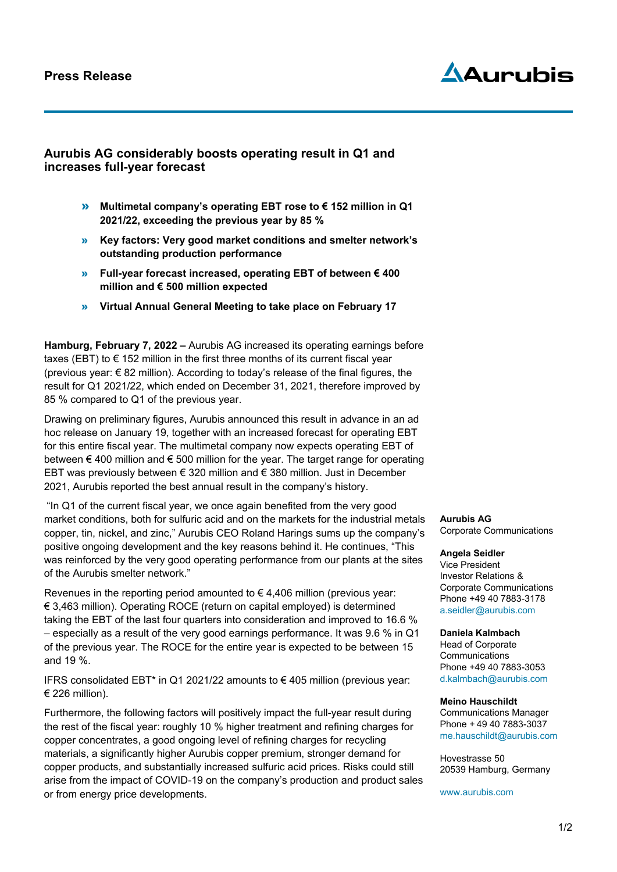

# **Aurubis AG considerably boosts operating result in Q1 and increases full-year forecast**

- » **Multimetal company's operating EBT rose to € 152 million in Q1 2021/22, exceeding the previous year by 85 %**
- » **Key factors: Very good market conditions and smelter network's outstanding production performance**
- » **Full-year forecast increased, operating EBT of between € 400 million and € 500 million expected**
- » **Virtual Annual General Meeting to take place on February 17**

**Hamburg, February 7, 2022 –** Aurubis AG increased its operating earnings before taxes (EBT) to  $\epsilon$  152 million in the first three months of its current fiscal year (previous year: € 82 million). According to today's release of the final figures, the result for Q1 2021/22, which ended on December 31, 2021, therefore improved by 85 % compared to Q1 of the previous year.

Drawing on preliminary figures, Aurubis announced this result in advance in an ad hoc release on January 19, together with an increased forecast for operating EBT for this entire fiscal year. The multimetal company now expects operating EBT of between € 400 million and € 500 million for the year. The target range for operating EBT was previously between € 320 million and € 380 million. Just in December 2021, Aurubis reported the best annual result in the company's history.

"In Q1 of the current fiscal year, we once again benefited from the very good market conditions, both for sulfuric acid and on the markets for the industrial metals copper, tin, nickel, and zinc," Aurubis CEO Roland Harings sums up the company's positive ongoing development and the key reasons behind it. He continues, "This was reinforced by the very good operating performance from our plants at the sites of the Aurubis smelter network."

Revenues in the reporting period amounted to  $\epsilon$  4.406 million (previous year: € 3,463 million). Operating ROCE (return on capital employed) is determined taking the EBT of the last four quarters into consideration and improved to 16.6 % – especially as a result of the very good earnings performance. It was 9.6 % in Q1 of the previous year. The ROCE for the entire year is expected to be between 15 and 19 %.

IFRS consolidated EBT\* in Q1 2021/22 amounts to € 405 million (previous year: € 226 million).

Furthermore, the following factors will positively impact the full-year result during the rest of the fiscal year: roughly 10 % higher treatment and refining charges for copper concentrates, a good ongoing level of refining charges for recycling materials, a significantly higher Aurubis copper premium, stronger demand for copper products, and substantially increased sulfuric acid prices. Risks could still arise from the impact of COVID-19 on the company's production and product sales or from energy price developments.

**Aurubis AG** Corporate Communications

### **Angela Seidler**

Vice President Investor Relations & Corporate Communications Phone +49 40 7883-3178 a.seidler@aurubis.com

#### **Daniela Kalmbach**

Head of Corporate **Communications** Phone +49 40 7883-3053 [d.kalmbach@aurubis.com](mailto:d.kalmbach@aurubis.com)

#### **Meino Hauschildt**

Communications Manager Phone + 49 40 7883-3037 [me.hauschildt@aurubis.com](mailto:me.hauschildt@aurubis.com)

Hovestrasse 50 20539 Hamburg, Germany

[www.aurubis.com](http://www.aurubis.com/)